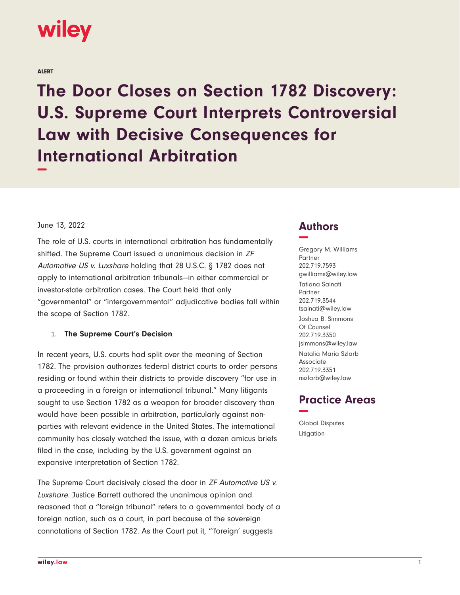

ALERT

**The Door Closes on Section 1782 Discovery: U.S. Supreme Court Interprets Controversial Law with Decisive Consequences for International Arbitration −**

#### June 13, 2022

The role of U.S. courts in international arbitration has fundamentally shifted. The Supreme Court issued a unanimous decision in ZF Automotive US v. Luxshare holding that 28 U.S.C. § 1782 does not apply to international arbitration tribunals—in either commercial or investor-state arbitration cases. The Court held that only "governmental" or "intergovernmental" adjudicative bodies fall within the scope of Section 1782.

#### 1. **The Supreme Court's Decision**

In recent years, U.S. courts had split over the meaning of Section 1782. The provision authorizes federal district courts to order persons residing or found within their districts to provide discovery "for use in a proceeding in a foreign or international tribunal." Many litigants sought to use Section 1782 as a weapon for broader discovery than would have been possible in arbitration, particularly against nonparties with relevant evidence in the United States. The international community has closely watched the issue, with a dozen amicus briefs filed in the case, including by the U.S. government against an expansive interpretation of Section 1782.

The Supreme Court decisively closed the door in ZF Automotive US v. Luxshare. Justice Barrett authored the unanimous opinion and reasoned that a "foreign tribunal" refers to a governmental body of a foreign nation, such as a court, in part because of the sovereign connotations of Section 1782. As the Court put it, "'foreign' suggests

## **Authors −**

Gregory M. Williams Partner 202.719.7593 gwilliams@wiley.law Tatiana Sainati Partner 202.719.3544 tsainati@wiley.law Joshua B. Simmons Of Counsel 202.719.3350 jsimmons@wiley.law Natalia Maria Szlarb Associate 202.719.3351 nszlarb@wiley.law

# **Practice Areas −**

Global Disputes Litigation